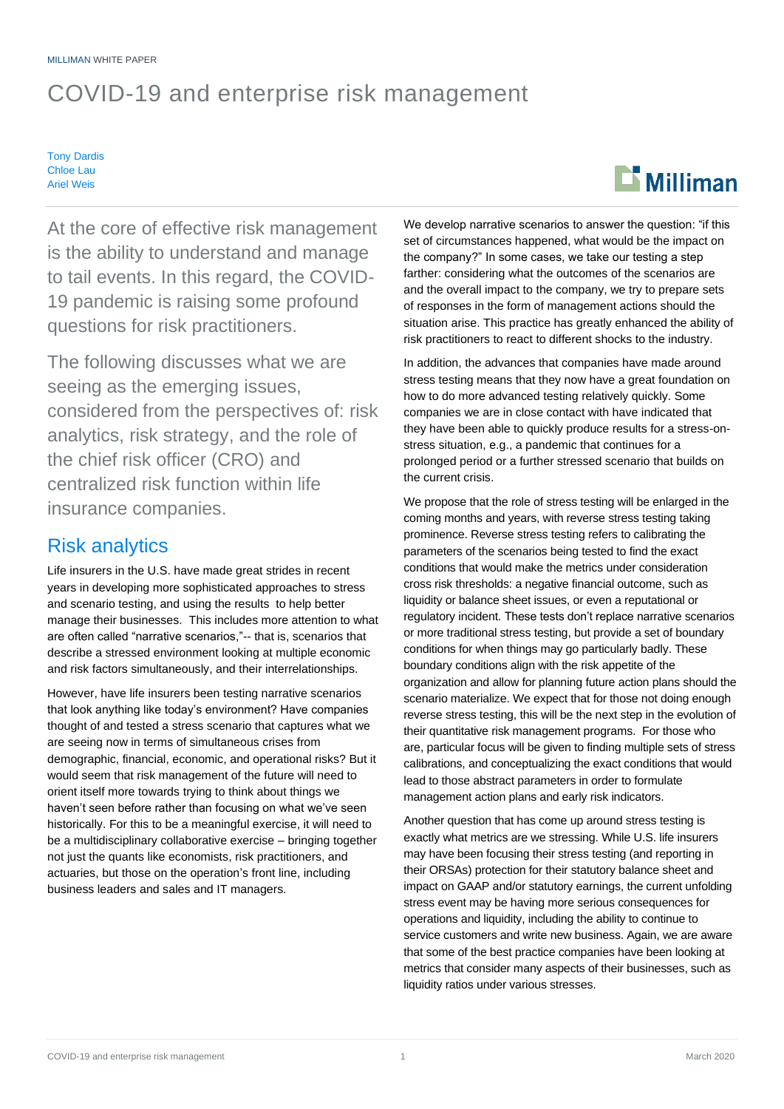## COVID-19 and enterprise risk management

#### Tony Dardis Chloe Lau Ariel Weis

# $\mathbf{E}$  Milliman

At the core of effective risk management is the ability to understand and manage to tail events. In this regard, the COVID-19 pandemic is raising some profound questions for risk practitioners.

The following discusses what we are seeing as the emerging issues, considered from the perspectives of: risk analytics, risk strategy, and the role of the chief risk officer (CRO) and centralized risk function within life insurance companies.

## Risk analytics

Life insurers in the U.S. have made great strides in recent years in developing more sophisticated approaches to stress and scenario testing, and using the results to help better manage their businesses. This includes more attention to what are often called "narrative scenarios,"-- that is, scenarios that describe a stressed environment looking at multiple economic and risk factors simultaneously, and their interrelationships.

However, have life insurers been testing narrative scenarios that look anything like today's environment? Have companies thought of and tested a stress scenario that captures what we are seeing now in terms of simultaneous crises from demographic, financial, economic, and operational risks? But it would seem that risk management of the future will need to orient itself more towards trying to think about things we haven't seen before rather than focusing on what we've seen historically. For this to be a meaningful exercise, it will need to be a multidisciplinary collaborative exercise – bringing together not just the quants like economists, risk practitioners, and actuaries, but those on the operation's front line, including business leaders and sales and IT managers.

We develop narrative scenarios to answer the question: "if this set of circumstances happened, what would be the impact on the company?" In some cases, we take our testing a step farther: considering what the outcomes of the scenarios are and the overall impact to the company, we try to prepare sets of responses in the form of management actions should the situation arise. This practice has greatly enhanced the ability of risk practitioners to react to different shocks to the industry.

In addition, the advances that companies have made around stress testing means that they now have a great foundation on how to do more advanced testing relatively quickly. Some companies we are in close contact with have indicated that they have been able to quickly produce results for a stress-onstress situation, e.g., a pandemic that continues for a prolonged period or a further stressed scenario that builds on the current crisis.

We propose that the role of stress testing will be enlarged in the coming months and years, with reverse stress testing taking prominence. Reverse stress testing refers to calibrating the parameters of the scenarios being tested to find the exact conditions that would make the metrics under consideration cross risk thresholds: a negative financial outcome, such as liquidity or balance sheet issues, or even a reputational or regulatory incident. These tests don't replace narrative scenarios or more traditional stress testing, but provide a set of boundary conditions for when things may go particularly badly. These boundary conditions align with the risk appetite of the organization and allow for planning future action plans should the scenario materialize. We expect that for those not doing enough reverse stress testing, this will be the next step in the evolution of their quantitative risk management programs. For those who are, particular focus will be given to finding multiple sets of stress calibrations, and conceptualizing the exact conditions that would lead to those abstract parameters in order to formulate management action plans and early risk indicators.

Another question that has come up around stress testing is exactly what metrics are we stressing. While U.S. life insurers may have been focusing their stress testing (and reporting in their ORSAs) protection for their statutory balance sheet and impact on GAAP and/or statutory earnings, the current unfolding stress event may be having more serious consequences for operations and liquidity, including the ability to continue to service customers and write new business. Again, we are aware that some of the best practice companies have been looking at metrics that consider many aspects of their businesses, such as liquidity ratios under various stresses.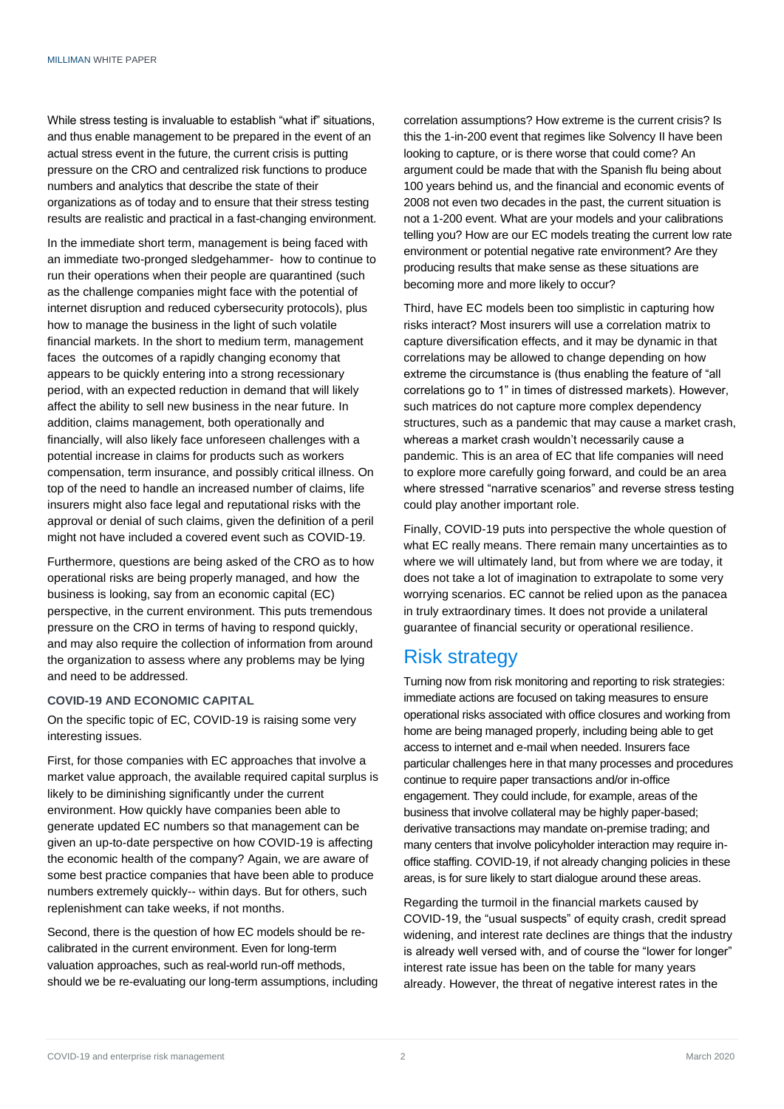While stress testing is invaluable to establish "what if" situations, and thus enable management to be prepared in the event of an actual stress event in the future, the current crisis is putting pressure on the CRO and centralized risk functions to produce numbers and analytics that describe the state of their organizations as of today and to ensure that their stress testing results are realistic and practical in a fast-changing environment.

In the immediate short term, management is being faced with an immediate two-pronged sledgehammer- how to continue to run their operations when their people are quarantined (such as the challenge companies might face with the potential of internet disruption and reduced cybersecurity protocols), plus how to manage the business in the light of such volatile financial markets. In the short to medium term, management faces the outcomes of a rapidly changing economy that appears to be quickly entering into a strong recessionary period, with an expected reduction in demand that will likely affect the ability to sell new business in the near future. In addition, claims management, both operationally and financially, will also likely face unforeseen challenges with a potential increase in claims for products such as workers compensation, term insurance, and possibly critical illness. On top of the need to handle an increased number of claims, life insurers might also face legal and reputational risks with the approval or denial of such claims, given the definition of a peril might not have included a covered event such as COVID-19.

Furthermore, questions are being asked of the CRO as to how operational risks are being properly managed, and how the business is looking, say from an economic capital (EC) perspective, in the current environment. This puts tremendous pressure on the CRO in terms of having to respond quickly, and may also require the collection of information from around the organization to assess where any problems may be lying and need to be addressed.

#### **COVID-19 AND ECONOMIC CAPITAL**

On the specific topic of EC, COVID-19 is raising some very interesting issues.

First, for those companies with EC approaches that involve a market value approach, the available required capital surplus is likely to be diminishing significantly under the current environment. How quickly have companies been able to generate updated EC numbers so that management can be given an up-to-date perspective on how COVID-19 is affecting the economic health of the company? Again, we are aware of some best practice companies that have been able to produce numbers extremely quickly-- within days. But for others, such replenishment can take weeks, if not months.

Second, there is the question of how EC models should be recalibrated in the current environment. Even for long-term valuation approaches, such as real-world run-off methods, should we be re-evaluating our long-term assumptions, including correlation assumptions? How extreme is the current crisis? Is this the 1-in-200 event that regimes like Solvency II have been looking to capture, or is there worse that could come? An argument could be made that with the Spanish flu being about 100 years behind us, and the financial and economic events of 2008 not even two decades in the past, the current situation is not a 1-200 event. What are your models and your calibrations telling you? How are our EC models treating the current low rate environment or potential negative rate environment? Are they producing results that make sense as these situations are becoming more and more likely to occur?

Third, have EC models been too simplistic in capturing how risks interact? Most insurers will use a correlation matrix to capture diversification effects, and it may be dynamic in that correlations may be allowed to change depending on how extreme the circumstance is (thus enabling the feature of "all correlations go to 1" in times of distressed markets). However, such matrices do not capture more complex dependency structures, such as a pandemic that may cause a market crash, whereas a market crash wouldn't necessarily cause a pandemic. This is an area of EC that life companies will need to explore more carefully going forward, and could be an area where stressed "narrative scenarios" and reverse stress testing could play another important role.

Finally, COVID-19 puts into perspective the whole question of what EC really means. There remain many uncertainties as to where we will ultimately land, but from where we are today, it does not take a lot of imagination to extrapolate to some very worrying scenarios. EC cannot be relied upon as the panacea in truly extraordinary times. It does not provide a unilateral guarantee of financial security or operational resilience.

### Risk strategy

Turning now from risk monitoring and reporting to risk strategies: immediate actions are focused on taking measures to ensure operational risks associated with office closures and working from home are being managed properly, including being able to get access to internet and e-mail when needed. Insurers face particular challenges here in that many processes and procedures continue to require paper transactions and/or in-office engagement. They could include, for example, areas of the business that involve collateral may be highly paper-based; derivative transactions may mandate on-premise trading; and many centers that involve policyholder interaction may require inoffice staffing. COVID-19, if not already changing policies in these areas, is for sure likely to start dialogue around these areas.

Regarding the turmoil in the financial markets caused by COVID-19, the "usual suspects" of equity crash, credit spread widening, and interest rate declines are things that the industry is already well versed with, and of course the "lower for longer" interest rate issue has been on the table for many years already. However, the threat of negative interest rates in the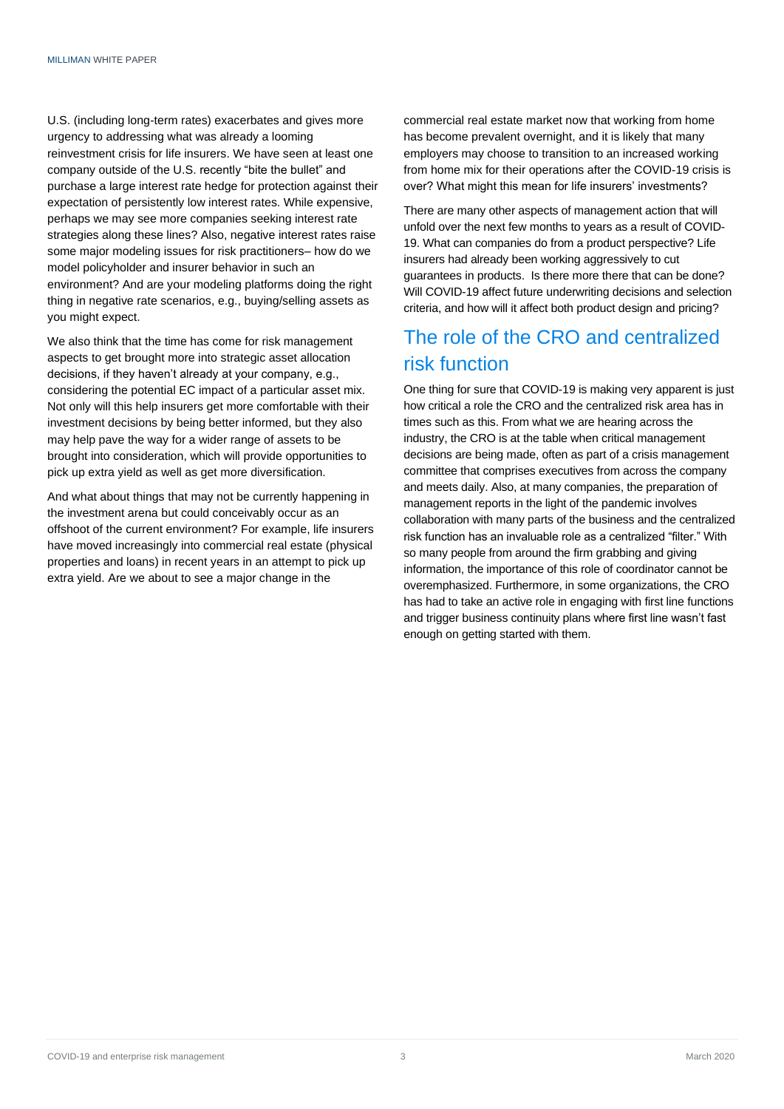U.S. (including long-term rates) exacerbates and gives more urgency to addressing what was already a looming reinvestment crisis for life insurers. We have seen at least one company outside of the U.S. recently "bite the bullet" and purchase a large interest rate hedge for protection against their expectation of persistently low interest rates. While expensive, perhaps we may see more companies seeking interest rate strategies along these lines? Also, negative interest rates raise some major modeling issues for risk practitioners– how do we model policyholder and insurer behavior in such an environment? And are your modeling platforms doing the right thing in negative rate scenarios, e.g., buying/selling assets as you might expect.

We also think that the time has come for risk management aspects to get brought more into strategic asset allocation decisions, if they haven't already at your company, e.g., considering the potential EC impact of a particular asset mix. Not only will this help insurers get more comfortable with their investment decisions by being better informed, but they also may help pave the way for a wider range of assets to be brought into consideration, which will provide opportunities to pick up extra yield as well as get more diversification.

And what about things that may not be currently happening in the investment arena but could conceivably occur as an offshoot of the current environment? For example, life insurers have moved increasingly into commercial real estate (physical properties and loans) in recent years in an attempt to pick up extra yield. Are we about to see a major change in the

commercial real estate market now that working from home has become prevalent overnight, and it is likely that many employers may choose to transition to an increased working from home mix for their operations after the COVID-19 crisis is over? What might this mean for life insurers' investments?

There are many other aspects of management action that will unfold over the next few months to years as a result of COVID-19. What can companies do from a product perspective? Life insurers had already been working aggressively to cut guarantees in products. Is there more there that can be done? Will COVID-19 affect future underwriting decisions and selection criteria, and how will it affect both product design and pricing?

## The role of the CRO and centralized risk function

One thing for sure that COVID-19 is making very apparent is just how critical a role the CRO and the centralized risk area has in times such as this. From what we are hearing across the industry, the CRO is at the table when critical management decisions are being made, often as part of a crisis management committee that comprises executives from across the company and meets daily. Also, at many companies, the preparation of management reports in the light of the pandemic involves collaboration with many parts of the business and the centralized risk function has an invaluable role as a centralized "filter." With so many people from around the firm grabbing and giving information, the importance of this role of coordinator cannot be overemphasized. Furthermore, in some organizations, the CRO has had to take an active role in engaging with first line functions and trigger business continuity plans where first line wasn't fast enough on getting started with them.